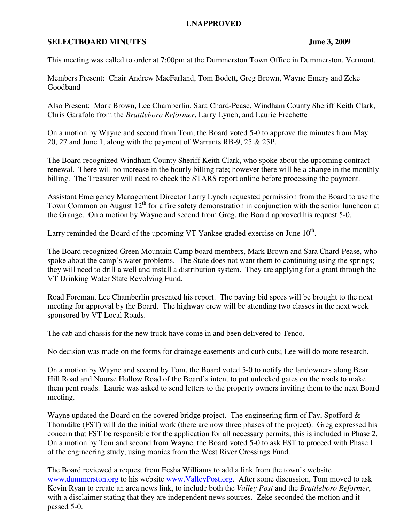## **UNAPPROVED**

## **SELECTBOARD MINUTES** June 3, 2009

This meeting was called to order at 7:00pm at the Dummerston Town Office in Dummerston, Vermont.

Members Present: Chair Andrew MacFarland, Tom Bodett, Greg Brown, Wayne Emery and Zeke Goodband

Also Present: Mark Brown, Lee Chamberlin, Sara Chard-Pease, Windham County Sheriff Keith Clark, Chris Garafolo from the *Brattleboro Reformer*, Larry Lynch, and Laurie Frechette

On a motion by Wayne and second from Tom, the Board voted 5-0 to approve the minutes from May 20, 27 and June 1, along with the payment of Warrants RB-9, 25 & 25P.

The Board recognized Windham County Sheriff Keith Clark, who spoke about the upcoming contract renewal. There will no increase in the hourly billing rate; however there will be a change in the monthly billing. The Treasurer will need to check the STARS report online before processing the payment.

Assistant Emergency Management Director Larry Lynch requested permission from the Board to use the Town Common on August  $12<sup>th</sup>$  for a fire safety demonstration in conjunction with the senior luncheon at the Grange. On a motion by Wayne and second from Greg, the Board approved his request 5-0.

Larry reminded the Board of the upcoming VT Yankee graded exercise on June  $10<sup>th</sup>$ .

The Board recognized Green Mountain Camp board members, Mark Brown and Sara Chard-Pease, who spoke about the camp's water problems. The State does not want them to continuing using the springs; they will need to drill a well and install a distribution system. They are applying for a grant through the VT Drinking Water State Revolving Fund.

Road Foreman, Lee Chamberlin presented his report. The paving bid specs will be brought to the next meeting for approval by the Board. The highway crew will be attending two classes in the next week sponsored by VT Local Roads.

The cab and chassis for the new truck have come in and been delivered to Tenco.

No decision was made on the forms for drainage easements and curb cuts; Lee will do more research.

On a motion by Wayne and second by Tom, the Board voted 5-0 to notify the landowners along Bear Hill Road and Nourse Hollow Road of the Board's intent to put unlocked gates on the roads to make them pent roads. Laurie was asked to send letters to the property owners inviting them to the next Board meeting.

Wayne updated the Board on the covered bridge project. The engineering firm of Fay, Spofford & Thorndike (FST) will do the initial work (there are now three phases of the project). Greg expressed his concern that FST be responsible for the application for all necessary permits; this is included in Phase 2. On a motion by Tom and second from Wayne, the Board voted 5-0 to ask FST to proceed with Phase I of the engineering study, using monies from the West River Crossings Fund.

The Board reviewed a request from Eesha Williams to add a link from the town's website www.dummerston.org to his website www.ValleyPost.org. After some discussion, Tom moved to ask Kevin Ryan to create an area news link, to include both the *Valley Post* and the *Brattleboro Reformer*, with a disclaimer stating that they are independent news sources. Zeke seconded the motion and it passed 5-0.